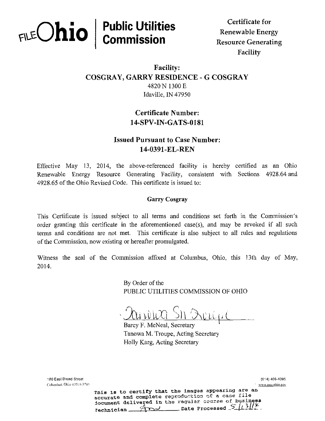# $F(\text{E}-\text{C}-\text{C})$ Public Utilities **The Certificate for**

 $\mathbf{R}$  Renewable Energy Commissio n Resource Generating Facility

## Facility: COSGRAY, GARRY RESIDENCE - G COSGRAY 4820 N 1300 E Idaville, IN 47950

# Certificate Number: 14-SPV-IN-GATS-0181

## Issued Pursuant to Case Number: 14-0391-EL-REN

Effective May 13, 2014, the above-referenced facility is hereby certified as an Ohio Renewable Energy Resource Generating Facility, consistent with Sections 4928.64 and 4928.65 of the Ohio Revised Code. This certificate is issued to:

#### Garry Cosgray

This Certificate is issued subject to all terms and conditions set forth in the Commission's order granting this certificate in the aforementioned case(s), and may be revoked if all such terras and conditions are not met. This certificate is also subject to all rules and regulations of the Commission, now existing or hereafter promulgated.

Witness the seal of the Commission affixed at Columbus, Ohio, this 13th day of May, 2014.

> By Order of the PUBLIC UTILITIES COMMISSION OF OHIO

 $\overline{C}$ 

Barcy F. McNeal, Secretary Tanowa M. Troupe, Acting Secretary Holly Karg, Acting Secretary

180 East Broad Street {614) 46S-4095 Columbus. Oliio 43215-3793 vww.nuc.oliio.gov

This is to certify that the images appearing are an accurate and complete reproduction of a case file iocument delivered in the regular course of business rechnician....  $A \rightarrow$  Date Processed  $5/13$ //k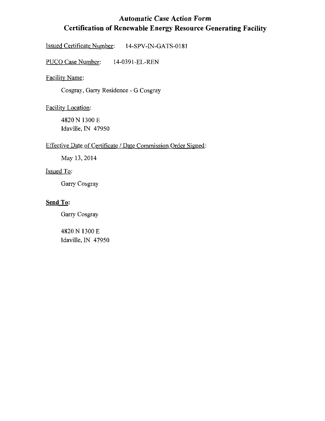# Automatic Case Action Form Certification of Renewable Energy Resource Generating Facility

 $\bar{z}$ 

Issued Certificate Number: 14-SPV-IN-GATS-0181

PUCO Case Number: 14-0391-EL-REN

Facility Name:

Cosgray, Garry Residence - G Cosgray

Facility Location:

4820 N 1300 E Idaville, IN 47950

#### Effective Date of Certificate / Date Commission Order Signed:

May 13,2014

### Issued To:

Garry Cosgray

#### Send To:

Garry Cosgray

4820N 1300E Idaville, IN 47950